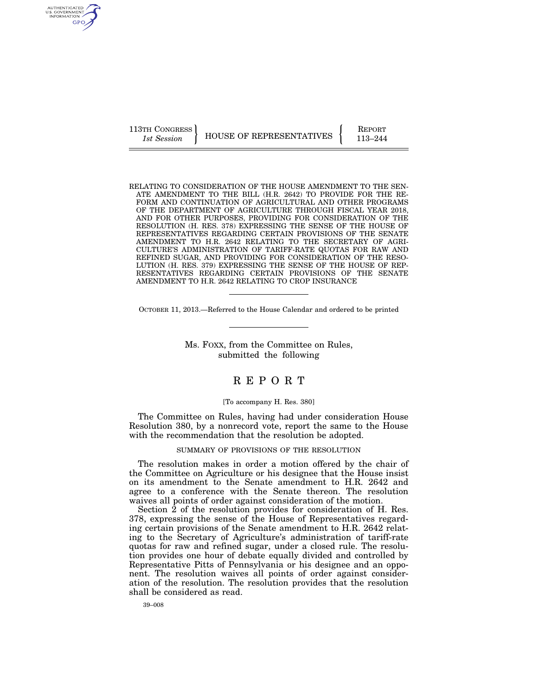AUTHENTICATED U.S. GOVERNMENT GPO

113TH CONGRESS HOUSE OF REPRESENTATIVES FEPORT 113–244

RELATING TO CONSIDERATION OF THE HOUSE AMENDMENT TO THE SEN-ATE AMENDMENT TO THE BILL (H.R. 2642) TO PROVIDE FOR THE RE-FORM AND CONTINUATION OF AGRICULTURAL AND OTHER PROGRAMS OF THE DEPARTMENT OF AGRICULTURE THROUGH FISCAL YEAR 2018, AND FOR OTHER PURPOSES, PROVIDING FOR CONSIDERATION OF THE RESOLUTION (H. RES. 378) EXPRESSING THE SENSE OF THE HOUSE OF REPRESENTATIVES REGARDING CERTAIN PROVISIONS OF THE SENATE AMENDMENT TO H.R. 2642 RELATING TO THE SECRETARY OF AGRI-CULTURE'S ADMINISTRATION OF TARIFF-RATE QUOTAS FOR RAW AND REFINED SUGAR, AND PROVIDING FOR CONSIDERATION OF THE RESO-LUTION (H. RES. 379) EXPRESSING THE SENSE OF THE HOUSE OF REP-RESENTATIVES REGARDING CERTAIN PROVISIONS OF THE SENATE AMENDMENT TO H.R. 2642 RELATING TO CROP INSURANCE

OCTOBER 11, 2013.—Referred to the House Calendar and ordered to be printed

Ms. FOXX, from the Committee on Rules, submitted the following

## R E P O R T

## [To accompany H. Res. 380]

The Committee on Rules, having had under consideration House Resolution 380, by a nonrecord vote, report the same to the House with the recommendation that the resolution be adopted.

SUMMARY OF PROVISIONS OF THE RESOLUTION

The resolution makes in order a motion offered by the chair of the Committee on Agriculture or his designee that the House insist on its amendment to the Senate amendment to H.R. 2642 and agree to a conference with the Senate thereon. The resolution waives all points of order against consideration of the motion.

Section 2 of the resolution provides for consideration of H. Res. 378, expressing the sense of the House of Representatives regarding certain provisions of the Senate amendment to H.R. 2642 relating to the Secretary of Agriculture's administration of tariff-rate quotas for raw and refined sugar, under a closed rule. The resolution provides one hour of debate equally divided and controlled by Representative Pitts of Pennsylvania or his designee and an opponent. The resolution waives all points of order against consideration of the resolution. The resolution provides that the resolution shall be considered as read.

39–008